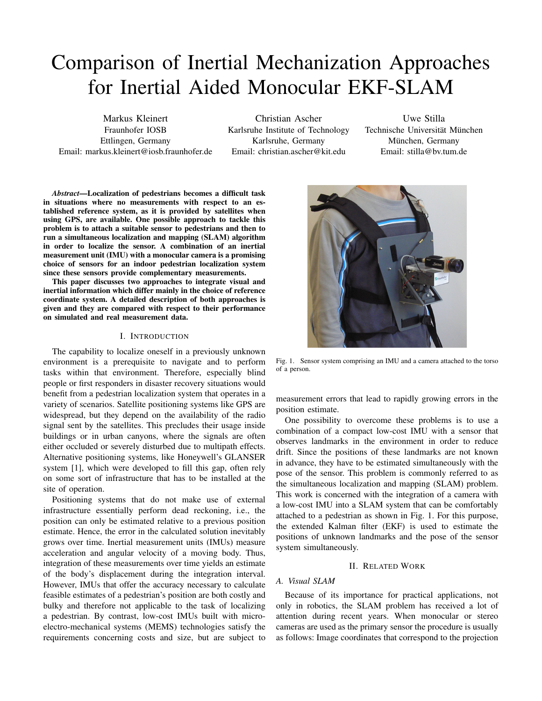# Comparison of Inertial Mechanization Approaches for Inertial Aided Monocular EKF-SLAM

Markus Kleinert Fraunhofer IOSB Ettlingen, Germany Email: markus.kleinert@iosb.fraunhofer.de

Christian Ascher Karlsruhe Institute of Technology Karlsruhe, Germany Email: christian.ascher@kit.edu

Uwe Stilla Technische Universität München München, Germany Email: stilla@bv.tum.de

*Abstract*—Localization of pedestrians becomes a difficult task in situations where no measurements with respect to an established reference system, as it is provided by satellites when using GPS, are available. One possible approach to tackle this problem is to attach a suitable sensor to pedestrians and then to run a simultaneous localization and mapping (SLAM) algorithm in order to localize the sensor. A combination of an inertial measurement unit (IMU) with a monocular camera is a promising choice of sensors for an indoor pedestrian localization system since these sensors provide complementary measurements.

This paper discusses two approaches to integrate visual and inertial information which differ mainly in the choice of reference coordinate system. A detailed description of both approaches is given and they are compared with respect to their performance on simulated and real measurement data.

# I. INTRODUCTION

The capability to localize oneself in a previously unknown environment is a prerequisite to navigate and to perform tasks within that environment. Therefore, especially blind people or first responders in disaster recovery situations would benefit from a pedestrian localization system that operates in a variety of scenarios. Satellite positioning systems like GPS are widespread, but they depend on the availability of the radio signal sent by the satellites. This precludes their usage inside buildings or in urban canyons, where the signals are often either occluded or severely disturbed due to multipath effects. Alternative positioning systems, like Honeywell's GLANSER system [1], which were developed to fill this gap, often rely on some sort of infrastructure that has to be installed at the site of operation.

Positioning systems that do not make use of external infrastructure essentially perform dead reckoning, i.e., the position can only be estimated relative to a previous position estimate. Hence, the error in the calculated solution inevitably grows over time. Inertial measurement units (IMUs) measure acceleration and angular velocity of a moving body. Thus, integration of these measurements over time yields an estimate of the body's displacement during the integration interval. However, IMUs that offer the accuracy necessary to calculate feasible estimates of a pedestrian's position are both costly and bulky and therefore not applicable to the task of localizing a pedestrian. By contrast, low-cost IMUs built with microelectro-mechanical systems (MEMS) technologies satisfy the requirements concerning costs and size, but are subject to



Fig. 1. Sensor system comprising an IMU and a camera attached to the torso of a person.

measurement errors that lead to rapidly growing errors in the position estimate.

One possibility to overcome these problems is to use a combination of a compact low-cost IMU with a sensor that observes landmarks in the environment in order to reduce drift. Since the positions of these landmarks are not known in advance, they have to be estimated simultaneously with the pose of the sensor. This problem is commonly referred to as the simultaneous localization and mapping (SLAM) problem. This work is concerned with the integration of a camera with a low-cost IMU into a SLAM system that can be comfortably attached to a pedestrian as shown in Fig. 1. For this purpose, the extended Kalman filter (EKF) is used to estimate the positions of unknown landmarks and the pose of the sensor system simultaneously.

#### II. RELATED WORK

# *A. Visual SLAM*

Because of its importance for practical applications, not only in robotics, the SLAM problem has received a lot of attention during recent years. When monocular or stereo cameras are used as the primary sensor the procedure is usually as follows: Image coordinates that correspond to the projection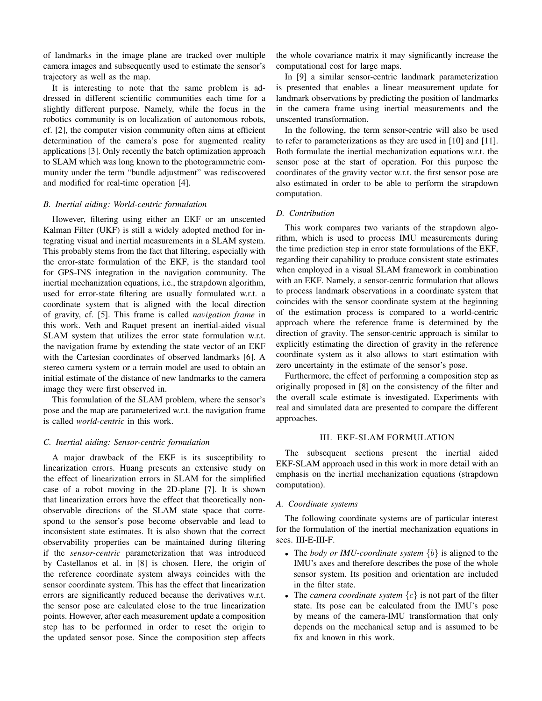of landmarks in the image plane are tracked over multiple camera images and subsequently used to estimate the sensor's trajectory as well as the map.

It is interesting to note that the same problem is addressed in different scientific communities each time for a slightly different purpose. Namely, while the focus in the robotics community is on localization of autonomous robots, cf. [2], the computer vision community often aims at efficient determination of the camera's pose for augmented reality applications [3]. Only recently the batch optimization approach to SLAM which was long known to the photogrammetric community under the term "bundle adjustment" was rediscovered and modified for real-time operation [4].

# *B. Inertial aiding: World-centric formulation*

However, filtering using either an EKF or an unscented Kalman Filter (UKF) is still a widely adopted method for integrating visual and inertial measurements in a SLAM system. This probably stems from the fact that filtering, especially with the error-state formulation of the EKF, is the standard tool for GPS-INS integration in the navigation community. The inertial mechanization equations, i.e., the strapdown algorithm, used for error-state filtering are usually formulated w.r.t. a coordinate system that is aligned with the local direction of gravity, cf. [5]. This frame is called *navigation frame* in this work. Veth and Raquet present an inertial-aided visual SLAM system that utilizes the error state formulation w.r.t. the navigation frame by extending the state vector of an EKF with the Cartesian coordinates of observed landmarks [6]. A stereo camera system or a terrain model are used to obtain an initial estimate of the distance of new landmarks to the camera image they were first observed in.

This formulation of the SLAM problem, where the sensor's pose and the map are parameterized w.r.t. the navigation frame is called *world-centric* in this work.

# *C. Inertial aiding: Sensor-centric formulation*

A major drawback of the EKF is its susceptibility to linearization errors. Huang presents an extensive study on the effect of linearization errors in SLAM for the simplified case of a robot moving in the 2D-plane [7]. It is shown that linearization errors have the effect that theoretically nonobservable directions of the SLAM state space that correspond to the sensor's pose become observable and lead to inconsistent state estimates. It is also shown that the correct observability properties can be maintained during filtering if the *sensor-centric* parameterization that was introduced by Castellanos et al. in [8] is chosen. Here, the origin of the reference coordinate system always coincides with the sensor coordinate system. This has the effect that linearization errors are significantly reduced because the derivatives w.r.t. the sensor pose are calculated close to the true linearization points. However, after each measurement update a composition step has to be performed in order to reset the origin to the updated sensor pose. Since the composition step affects the whole covariance matrix it may significantly increase the computational cost for large maps.

In [9] a similar sensor-centric landmark parameterization is presented that enables a linear measurement update for landmark observations by predicting the position of landmarks in the camera frame using inertial measurements and the unscented transformation.

In the following, the term sensor-centric will also be used to refer to parameterizations as they are used in [10] and [11]. Both formulate the inertial mechanization equations w.r.t. the sensor pose at the start of operation. For this purpose the coordinates of the gravity vector w.r.t. the first sensor pose are also estimated in order to be able to perform the strapdown computation.

# *D. Contribution*

This work compares two variants of the strapdown algorithm, which is used to process IMU measurements during the time prediction step in error state formulations of the EKF, regarding their capability to produce consistent state estimates when employed in a visual SLAM framework in combination with an EKF. Namely, a sensor-centric formulation that allows to process landmark observations in a coordinate system that coincides with the sensor coordinate system at the beginning of the estimation process is compared to a world-centric approach where the reference frame is determined by the direction of gravity. The sensor-centric approach is similar to explicitly estimating the direction of gravity in the reference coordinate system as it also allows to start estimation with zero uncertainty in the estimate of the sensor's pose.

Furthermore, the effect of performing a composition step as originally proposed in [8] on the consistency of the filter and the overall scale estimate is investigated. Experiments with real and simulated data are presented to compare the different approaches.

# III. EKF-SLAM FORMULATION

The subsequent sections present the inertial aided EKF-SLAM approach used in this work in more detail with an emphasis on the inertial mechanization equations (strapdown computation).

#### *A. Coordinate systems*

The following coordinate systems are of particular interest for the formulation of the inertial mechanization equations in secs. III-E-III-F.

- The *body or IMU-coordinate system*  $\{b\}$  is aligned to the IMU's axes and therefore describes the pose of the whole sensor system. Its position and orientation are included in the filter state.
- The *camera coordinate system*  $\{c\}$  is not part of the filter state. Its pose can be calculated from the IMU's pose by means of the camera-IMU transformation that only depends on the mechanical setup and is assumed to be fix and known in this work.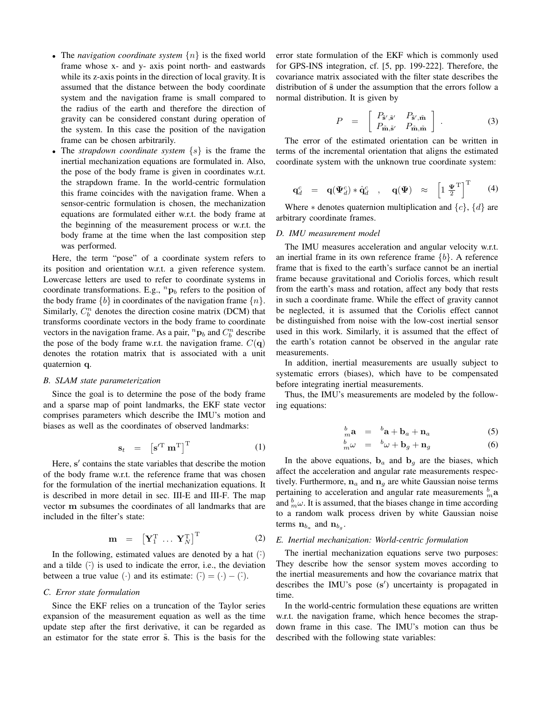- The *navigation coordinate system*  $\{n\}$  is the fixed world frame whose x- and y- axis point north- and eastwards while its z-axis points in the direction of local gravity. It is assumed that the distance between the body coordinate system and the navigation frame is small compared to the radius of the earth and therefore the direction of gravity can be considered constant during operation of the system. In this case the position of the navigation frame can be chosen arbitrarily.
- The *strapdown coordinate system* {s} is the frame the inertial mechanization equations are formulated in. Also, the pose of the body frame is given in coordinates w.r.t. the strapdown frame. In the world-centric formulation this frame coincides with the navigation frame. When a sensor-centric formulation is chosen, the mechanization equations are formulated either w.r.t. the body frame at the beginning of the measurement process or w.r.t. the body frame at the time when the last composition step was performed.

Here, the term "pose" of a coordinate system refers to its position and orientation w.r.t. a given reference system. Lowercase letters are used to refer to coordinate systems in coordinate transformations. E.g.,  ${}^{n}P_{b}$  refers to the position of the body frame  $\{b\}$  in coordinates of the navigation frame  $\{n\}$ . Similarly,  $C_b^n$  denotes the direction cosine matrix (DCM) that transforms coordinate vectors in the body frame to coordinate vectors in the navigation frame. As a pair,  ${}^n\mathbf{p}_b$  and  $C_b^n$  describe the pose of the body frame w.r.t. the navigation frame.  $C(\mathbf{q})$ denotes the rotation matrix that is associated with a unit quaternion q.

# *B. SLAM state parameterization*

Since the goal is to determine the pose of the body frame and a sparse map of point landmarks, the EKF state vector comprises parameters which describe the IMU's motion and biases as well as the coordinates of observed landmarks:

$$
\mathbf{s}_t = \left[ \mathbf{s}'^{\mathrm{T}} \ \mathbf{m}^{\mathrm{T}} \right]^{\mathrm{T}} \tag{1}
$$

Here, s' contains the state variables that describe the motion of the body frame w.r.t. the reference frame that was chosen for the formulation of the inertial mechanization equations. It is described in more detail in sec. III-E and III-F. The map vector m subsumes the coordinates of all landmarks that are included in the filter's state:

$$
\mathbf{m} = \left[ \mathbf{Y}_1^{\mathrm{T}} \dots \mathbf{Y}_N^{\mathrm{T}} \right]^{\mathrm{T}}
$$
 (2)

In the following, estimated values are denoted by a hat  $(\hat{\cdot})$ and a tilde  $(\tilde{\cdot})$  is used to indicate the error, i.e., the deviation between a true value (·) and its estimate:  $(\tilde{\cdot}) = (\cdot) - (\tilde{\cdot})$ .

# *C. Error state formulation*

Since the EKF relies on a truncation of the Taylor series expansion of the measurement equation as well as the time update step after the first derivative, it can be regarded as an estimator for the state error  $\tilde{s}$ . This is the basis for the error state formulation of the EKF which is commonly used for GPS-INS integration, cf. [5, pp. 199-222]. Therefore, the covariance matrix associated with the filter state describes the distribution of  $\tilde{s}$  under the assumption that the errors follow a normal distribution. It is given by

$$
P = \begin{bmatrix} P_{\tilde{\mathbf{s}}',\tilde{\mathbf{s}}'} & P_{\tilde{\mathbf{s}}',\tilde{\mathbf{m}}} \\ P_{\tilde{\mathbf{m}},\tilde{\mathbf{s}}'} & P_{\tilde{\mathbf{m}},\tilde{\mathbf{m}}} \end{bmatrix} . \tag{3}
$$

The error of the estimated orientation can be written in terms of the incremental orientation that aligns the estimated coordinate system with the unknown true coordinate system:

$$
\mathbf{q}_d^c = \mathbf{q}(\boldsymbol{\Psi}_d^c) * \hat{\mathbf{q}}_d^c \quad , \quad \mathbf{q}(\boldsymbol{\Psi}) \quad \approx \quad \left[1 \, \frac{\boldsymbol{\Psi}}{2}^T\right]^T \tag{4}
$$

Where  $*$  denotes quaternion multiplication and  $\{c\}$ ,  $\{d\}$  are arbitrary coordinate frames.

## *D. IMU measurement model*

The IMU measures acceleration and angular velocity w.r.t. an inertial frame in its own reference frame  ${b}$ . A reference frame that is fixed to the earth's surface cannot be an inertial frame because gravitational and Coriolis forces, which result from the earth's mass and rotation, affect any body that rests in such a coordinate frame. While the effect of gravity cannot be neglected, it is assumed that the Coriolis effect cannot be distinguished from noise with the low-cost inertial sensor used in this work. Similarly, it is assumed that the effect of the earth's rotation cannot be observed in the angular rate measurements.

In addition, inertial measurements are usually subject to systematic errors (biases), which have to be compensated before integrating inertial measurements.

Thus, the IMU's measurements are modeled by the following equations:

$$
{}_{m}^{b}\mathbf{a} = {}^{b}\mathbf{a} + \mathbf{b}_{a} + \mathbf{n}_{a} \tag{5}
$$

$$
{}_{m}^{b}\omega = {}^{b}\omega + \mathbf{b}_{g} + \mathbf{n}_{g} \tag{6}
$$

In the above equations,  $\mathbf{b}_a$  and  $\mathbf{b}_g$  are the biases, which affect the acceleration and angular rate measurements respectively. Furthermore,  $n_a$  and  $n_g$  are white Gaussian noise terms pertaining to acceleration and angular rate measurements  $\frac{b}{m}$ a and  ${}_{m}^{b}\omega$ . It is assumed, that the biases change in time according to a random walk process driven by white Gaussian noise terms  $\mathbf{n}_{b_a}$  and  $\mathbf{n}_{b_g}$ .

## *E. Inertial mechanization: World-centric formulation*

The inertial mechanization equations serve two purposes: They describe how the sensor system moves according to the inertial measurements and how the covariance matrix that describes the IMU's pose (s') uncertainty is propagated in time.

In the world-centric formulation these equations are written w.r.t. the navigation frame, which hence becomes the strapdown frame in this case. The IMU's motion can thus be described with the following state variables: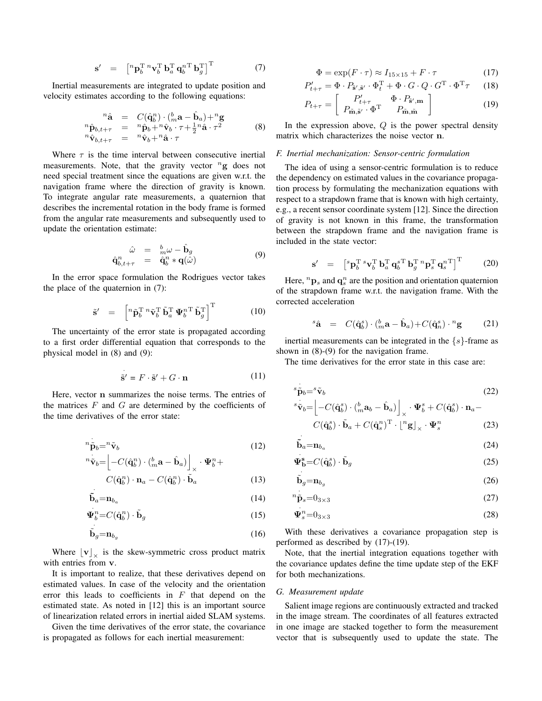$$
\mathbf{s}' = \begin{bmatrix} {^n} \mathbf{p}_b^{\mathrm{T}} {^n} \mathbf{v}_b^{\mathrm{T}} \mathbf{b}_a^{\mathrm{T}} \mathbf{q}_b^{\mathrm{T}} \mathbf{b}_g^{\mathrm{T}} \end{bmatrix}^{\mathrm{T}} \tag{7}
$$

Inertial measurements are integrated to update position and velocity estimates according to the following equations:

$$
{}^{n}\hat{\mathbf{a}} = C(\hat{\mathbf{q}}_{b}^{n}) \cdot ({}^{b}_{m}\mathbf{a} - \hat{\mathbf{b}}_{a}) + {}^{n}\mathbf{g}
$$
  
\n
$$
{}^{n}\hat{\mathbf{p}}_{b,t+\tau} = {}^{n}\hat{\mathbf{p}}_{b} + {}^{n}\hat{\mathbf{v}}_{b} \cdot \tau + \frac{1}{2} {}^{n}\hat{\mathbf{a}} \cdot \tau^{2}
$$
  
\n
$$
{}^{n}\hat{\mathbf{v}}_{b,t+\tau} = {}^{n}\hat{\mathbf{v}}_{b} + {}^{n}\hat{\mathbf{a}} \cdot \tau
$$
\n(8)

Where  $\tau$  is the time interval between consecutive inertial measurements. Note, that the gravity vector  ${}^{n}$ g does not need special treatment since the equations are given w.r.t. the navigation frame where the direction of gravity is known. To integrate angular rate measurements, a quaternion that describes the incremental rotation in the body frame is formed from the angular rate measurements and subsequently used to update the orientation estimate:

$$
\hat{\mathbf{q}}_{b,t+\tau}^{n} = \begin{array}{cc} \hat{\omega} & = & b_{m}\omega - \hat{\mathbf{b}}_{g} \\ \hat{\mathbf{q}}_{b,t+\tau}^{n} & = & \hat{\mathbf{q}}_{b}^{n} * \mathbf{q}(\hat{\omega}) \end{array} \tag{9}
$$

In the error space formulation the Rodrigues vector takes the place of the quaternion in (7):

$$
\tilde{\mathbf{s}}' = \begin{bmatrix} {}^{n}\tilde{\mathbf{p}}_{b}^{\mathrm{T}} {}^{n}\tilde{\mathbf{v}}_{b}^{\mathrm{T}} \ \tilde{\mathbf{b}}_{a}^{\mathrm{T}} \ \mathbf{\Psi}_{b}^{n}^{\mathrm{T}} \ \tilde{\mathbf{b}}_{g}^{\mathrm{T}} \end{bmatrix}^{\mathrm{T}} \qquad (10)
$$

The uncertainty of the error state is propagated according to a first order differential equation that corresponds to the physical model in (8) and (9):

$$
\dot{\tilde{\mathbf{s}}}' = F \cdot \tilde{\mathbf{s}}' + G \cdot \mathbf{n} \tag{11}
$$

Here, vector n summarizes the noise terms. The entries of the matrices  $F$  and  $G$  are determined by the coefficients of the time derivatives of the error state:

$$
{}^{n}\tilde{\mathbf{p}}_{b} = {}^{n}\tilde{\mathbf{v}}_{b}
$$
\n<sup>(12)</sup>

$$
\hspace{-1.2cm}\left.\tilde{\mathbf{v}}_{b}\hspace{-1.5ex}=\hspace{-1.5ex}\right[-C(\hat{\mathbf{q}}_{b}^{n})\cdot(\hspace{-1.5ex}\}_{m}^{b}\mathbf{a}-\hat{\mathbf{b}}_{a})\Big]\times\cdot\mathbf{\Psi}_{b}^{n}+
$$

$$
C(\hat{\mathbf{q}}_b^n) \cdot \mathbf{n}_a - C(\hat{\mathbf{q}}_b^n) \cdot \tilde{\mathbf{b}}_a \tag{13}
$$

$$
\dot{\tilde{\mathbf{b}}}_a = \mathbf{n}_{b_a} \tag{14}
$$

$$
\mathbf{\Psi}_{b}^{n} = C(\hat{\mathbf{q}}_{b}^{n}) \cdot \tilde{\mathbf{b}}_{g}
$$
 (15)

$$
\tilde{\mathbf{b}}_g = \mathbf{n}_{b_g} \tag{16}
$$

Where  $\lfloor \mathbf{v} \rfloor_{\times}$  is the skew-symmetric cross product matrix with entries from v.

·

It is important to realize, that these derivatives depend on estimated values. In case of the velocity and the orientation error this leads to coefficients in  $F$  that depend on the estimated state. As noted in [12] this is an important source of linearization related errors in inertial aided SLAM systems.

Given the time derivatives of the error state, the covariance is propagated as follows for each inertial measurement:

$$
\Phi = \exp(F \cdot \tau) \approx I_{15 \times 15} + F \cdot \tau \tag{17}
$$

$$
P'_{t+\tau} = \Phi \cdot P_{\tilde{\mathbf{s}}', \tilde{\mathbf{s}}'} \cdot \Phi_t^{\mathrm{T}} + \Phi \cdot G \cdot Q \cdot G^{\mathrm{T}} \cdot \Phi^{\mathrm{T}} \tau \qquad (18)
$$
  

$$
P_{t+\tau} = \begin{bmatrix} P'_{t+\tau} & \Phi \cdot P_{\tilde{\mathbf{s}}', \mathbf{m}} \\ 0 & 0 \end{bmatrix} \qquad (19)
$$

$$
P_{t+\tau} = \begin{bmatrix} P_{t+\tau} & \Psi \cdot P_{\tilde{\mathbf{s}}',\mathbf{m}} \\ P_{\tilde{\mathbf{m}},\tilde{\mathbf{s}}'} \cdot \Phi^{\mathrm{T}} & P_{\tilde{\mathbf{m}},\tilde{\mathbf{m}}} \end{bmatrix}
$$
(19)

In the expression above,  $Q$  is the power spectral density matrix which characterizes the noise vector n.

#### *F. Inertial mechanization: Sensor-centric formulation*

The idea of using a sensor-centric formulation is to reduce the dependency on estimated values in the covariance propagation process by formulating the mechanization equations with respect to a strapdown frame that is known with high certainty, e.g., a recent sensor coordinate system [12]. Since the direction of gravity is not known in this frame, the transformation between the strapdown frame and the navigation frame is included in the state vector:

$$
\mathbf{s}' = \left[ {}^{s}\mathbf{p}_{b}^{\mathrm{T}} {}^{s}\mathbf{v}_{b}^{\mathrm{T}} \mathbf{b}_{a}^{\mathrm{T}} \mathbf{q}_{b}^{\mathrm{T}} {}^{r}\mathbf{b}_{g}^{\mathrm{T}} {}^{n}\mathbf{p}_{s}^{\mathrm{T}} \mathbf{q}_{s}^{\mathrm{T}} \right]^{\mathrm{T}} \qquad (20)
$$

Here,  ${}^n\mathbf{p}_s$  and  $\mathbf{q}_s^n$  are the position and orientation quaternion of the strapdown frame w.r.t. the navigation frame. With the corrected acceleration

$$
{}^s\hat{\mathbf{a}} = C(\hat{\mathbf{q}}_b^s) \cdot \binom{b}{m} \mathbf{a} - \hat{\mathbf{b}}_a + C(\hat{\mathbf{q}}_n^s) \cdot {}^n\mathbf{g} \qquad (21)
$$

inertial measurements can be integrated in the  $\{s\}$ -frame as shown in (8)-(9) for the navigation frame.

The time derivatives for the error state in this case are:

$$
s_{\tilde{\mathbf{p}}b} = s_{\tilde{\mathbf{v}}b}
$$
\n
$$
s_{\tilde{\mathbf{p}}b} = s_{\tilde{\mathbf{v}}b}
$$
\n
$$
(22)
$$

$$
\begin{aligned}\n^s \tilde{\mathbf{v}}_b &= \left[ -C(\hat{\mathbf{q}}_b^s) \cdot \left( \begin{matrix} b \\ m \mathbf{a}_b \end{matrix} - \hat{\mathbf{b}}_a \right) \right]_{\times} \cdot \Psi_b^s + C(\hat{\mathbf{q}}_b^s) \cdot \mathbf{n}_a - \\
C(\hat{\mathbf{q}}_b^s) \cdot \tilde{\mathbf{b}}_a + C(\hat{\mathbf{q}}_s^n)^\mathrm{T} \cdot \left[ \begin{matrix} n_{\mathbf{g}} \\ \mathbf{g} \end{matrix} \right]_{\times} \cdot \Psi_s^n\n\end{aligned} \tag{23}
$$

$$
\tilde{\mathbf{b}}_a = \mathbf{n}_{b_a} \tag{24}
$$

$$
\mathbf{\Psi}_{\mathbf{b}}^{\mathbf{s}} = C(\hat{\mathbf{q}}_b^s) \cdot \tilde{\mathbf{b}}_g \tag{25}
$$

$$
\dot{\tilde{\mathbf{b}}}_g = \mathbf{n}_{b_g} \tag{26}
$$

$$
{}^{n}\tilde{\mathbf{p}}_{s}=0_{3\times3} \tag{27}
$$

$$
\Psi_s^n = 0_{3 \times 3} \tag{28}
$$

With these derivatives a covariance propagation step is performed as described by (17)-(19).

Note, that the inertial integration equations together with the covariance updates define the time update step of the EKF for both mechanizations.

#### *G. Measurement update*

Salient image regions are continuously extracted and tracked in the image stream. The coordinates of all features extracted in one image are stacked together to form the measurement vector that is subsequently used to update the state. The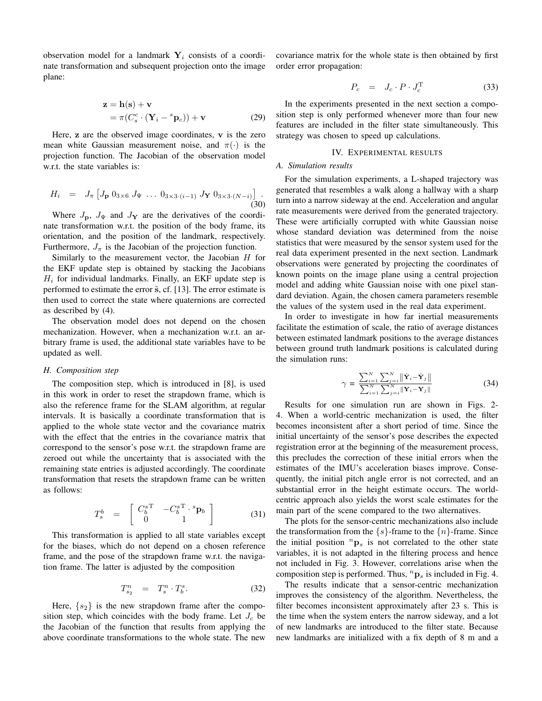observation model for a landmark  $Y_i$  consists of a coordinate transformation and subsequent projection onto the image plane:

$$
\mathbf{z} = \mathbf{h}(\mathbf{s}) + \mathbf{v}
$$
  
=  $\pi(C_s^c \cdot (\mathbf{Y}_i - {}^s \mathbf{p}_c)) + \mathbf{v}$  (29)

Here,  $\bf{z}$  are the observed image coordinates,  $\bf{v}$  is the zero mean white Gaussian measurement noise, and  $\pi(\cdot)$  is the projection function. The Jacobian of the observation model w.r.t. the state variables is:

$$
H_i = J_{\pi} \left[ J_{\mathbf{p}} \, 0_{3 \times 6} \, J_{\Psi} \, \dots \, 0_{3 \times 3 \cdot (i-1)} \, J_{\mathbf{Y}} \, 0_{3 \times 3 \cdot (N-i)} \right] \, . \tag{30}
$$

Where  $J_{\mathbf{p}}$ ,  $J_{\Psi}$  and  $J_{\mathbf{Y}}$  are the derivatives of the coordinate transformation w.r.t. the position of the body frame, its orientation, and the position of the landmark, respectively. Furthermore,  $J_{\pi}$  is the Jacobian of the projection function.

Similarly to the measurement vector, the Jacobian  $H$  for the EKF update step is obtained by stacking the Jacobians  $H_i$  for individual landmarks. Finally, an EKF update step is performed to estimate the error  $\tilde{s}$ , cf. [13]. The error estimate is then used to correct the state where quaternions are corrected as described by (4).

The observation model does not depend on the chosen mechanization. However, when a mechanization w.r.t. an arbitrary frame is used, the additional state variables have to be updated as well.

#### *H. Composition step*

The composition step, which is introduced in [8], is used in this work in order to reset the strapdown frame, which is also the reference frame for the SLAM algorithm, at regular intervals. It is basically a coordinate transformation that is applied to the whole state vector and the covariance matrix with the effect that the entries in the covariance matrix that correspond to the sensor's pose w.r.t. the strapdown frame are zeroed out while the uncertainty that is associated with the remaining state entries is adjusted accordingly. The coordinate transformation that resets the strapdown frame can be written as follows:

$$
T_s^b = \begin{bmatrix} C_b^{sT} & -C_b^{sT} \cdot {}^s\mathbf{p}_b \\ 0 & 1 \end{bmatrix}
$$
 (31)

This transformation is applied to all state variables except for the biases, which do not depend on a chosen reference frame, and the pose of the strapdown frame w.r.t. the navigation frame. The latter is adjusted by the composition

$$
T_{s_2}^n = T_s^n \cdot T_b^s. \tag{32}
$$

Here,  $\{s_2\}$  is the new strapdown frame after the composition step, which coincides with the body frame. Let  $J_c$  be the Jacobian of the function that results from applying the above coordinate transformations to the whole state. The new covariance matrix for the whole state is then obtained by first order error propagation:

$$
P_c = J_c \cdot P \cdot J_c^{\mathrm{T}} \tag{33}
$$

In the experiments presented in the next section a composition step is only performed whenever more than four new features are included in the filter state simultaneously. This strategy was chosen to speed up calculations.

#### IV. EXPERIMENTAL RESULTS

## *A. Simulation results*

For the simulation experiments, a L-shaped trajectory was generated that resembles a walk along a hallway with a sharp turn into a narrow sideway at the end. Acceleration and angular rate measurements were derived from the generated trajectory. These were artificially corrupted with white Gaussian noise whose standard deviation was determined from the noise statistics that were measured by the sensor system used for the real data experiment presented in the next section. Landmark observations were generated by projecting the coordinates of known points on the image plane using a central projection model and adding white Gaussian noise with one pixel standard deviation. Again, the chosen camera parameters resemble the values of the system used in the real data experiment.

In order to investigate in how far inertial measurements facilitate the estimation of scale, the ratio of average distances between estimated landmark positions to the average distances between ground truth landmark positions is calculated during the simulation runs:

$$
\gamma = \frac{\sum_{i=1}^{N} \sum_{j=i}^{N} ||\hat{\mathbf{Y}}_i - \hat{\mathbf{Y}}_j||}{\sum_{i=1}^{N} \sum_{j=i}^{N} ||\mathbf{Y}_i - \mathbf{Y}_j||}
$$
(34)

Results for one simulation run are shown in Figs. 2- 4. When a world-centric mechanization is used, the filter becomes inconsistent after a short period of time. Since the initial uncertainty of the sensor's pose describes the expected registration error at the beginning of the measurement process, this precludes the correction of these initial errors when the estimates of the IMU's acceleration biases improve. Consequently, the initial pitch angle error is not corrected, and an substantial error in the height estimate occurs. The worldcentric approach also yields the worst scale estimates for the main part of the scene compared to the two alternatives.

The plots for the sensor-centric mechanizations also include the transformation from the  $\{s\}$ -frame to the  $\{n\}$ -frame. Since the initial position  ${}^n\mathbf{p}_s$  is not correlated to the other state variables, it is not adapted in the filtering process and hence not included in Fig. 3. However, correlations arise when the composition step is performed. Thus,  ${}^n\mathbf{p}_s$  is included in Fig. 4.

The results indicate that a sensor-centric mechanization improves the consistency of the algorithm. Nevertheless, the filter becomes inconsistent approximately after 23 s. This is the time when the system enters the narrow sideway, and a lot of new landmarks are introduced to the filter state. Because new landmarks are initialized with a fix depth of 8 m and a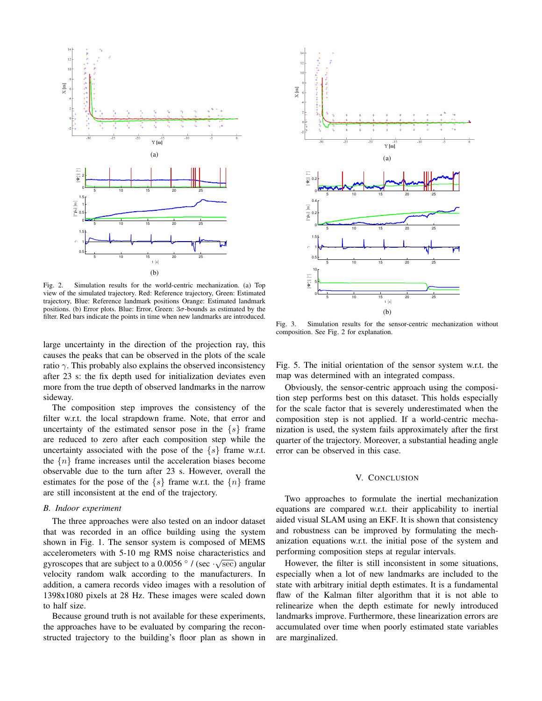

Fig. 2. Simulation results for the world-centric mechanization. (a) Top view of the simulated trajectory. Red: Reference trajectory, Green: Estimated trajectory, Blue: Reference landmark positions Orange: Estimated landmark positions. (b) Error plots. Blue: Error, Green:  $3\sigma$ -bounds as estimated by the filter. Red bars indicate the points in time when new landmarks are introduced.

large uncertainty in the direction of the projection ray, this causes the peaks that can be observed in the plots of the scale ratio  $\gamma$ . This probably also explains the observed inconsistency after 23 s: the fix depth used for initialization deviates even more from the true depth of observed landmarks in the narrow sideway.

The composition step improves the consistency of the filter w.r.t. the local strapdown frame. Note, that error and uncertainty of the estimated sensor pose in the  $\{s\}$  frame are reduced to zero after each composition step while the uncertainty associated with the pose of the  $\{s\}$  frame w.r.t. the  $\{n\}$  frame increases until the acceleration biases become observable due to the turn after 23 s. However, overall the estimates for the pose of the  $\{s\}$  frame w.r.t. the  $\{n\}$  frame are still inconsistent at the end of the trajectory.

#### *B. Indoor experiment*

The three approaches were also tested on an indoor dataset that was recorded in an office building using the system shown in Fig. 1. The sensor system is composed of MEMS accelerometers with 5-10 mg RMS noise characteristics and gyroscopes that are subject to a 0.0056  $\degree$  / (sec · $\sqrt{\text{sec}}$ ) angular velocity random walk according to the manufacturers. In addition, a camera records video images with a resolution of 1398x1080 pixels at 28 Hz. These images were scaled down to half size.

Because ground truth is not available for these experiments, the approaches have to be evaluated by comparing the reconstructed trajectory to the building's floor plan as shown in



Fig. 3. Simulation results for the sensor-centric mechanization without composition. See Fig. 2 for explanation.

Fig. 5. The initial orientation of the sensor system w.r.t. the map was determined with an integrated compass.

Obviously, the sensor-centric approach using the composition step performs best on this dataset. This holds especially for the scale factor that is severely underestimated when the composition step is not applied. If a world-centric mechanization is used, the system fails approximately after the first quarter of the trajectory. Moreover, a substantial heading angle error can be observed in this case.

# V. CONCLUSION

Two approaches to formulate the inertial mechanization equations are compared w.r.t. their applicability to inertial aided visual SLAM using an EKF. It is shown that consistency and robustness can be improved by formulating the mechanization equations w.r.t. the initial pose of the system and performing composition steps at regular intervals.

However, the filter is still inconsistent in some situations, especially when a lot of new landmarks are included to the state with arbitrary initial depth estimates. It is a fundamental flaw of the Kalman filter algorithm that it is not able to relinearize when the depth estimate for newly introduced landmarks improve. Furthermore, these linearization errors are accumulated over time when poorly estimated state variables are marginalized.